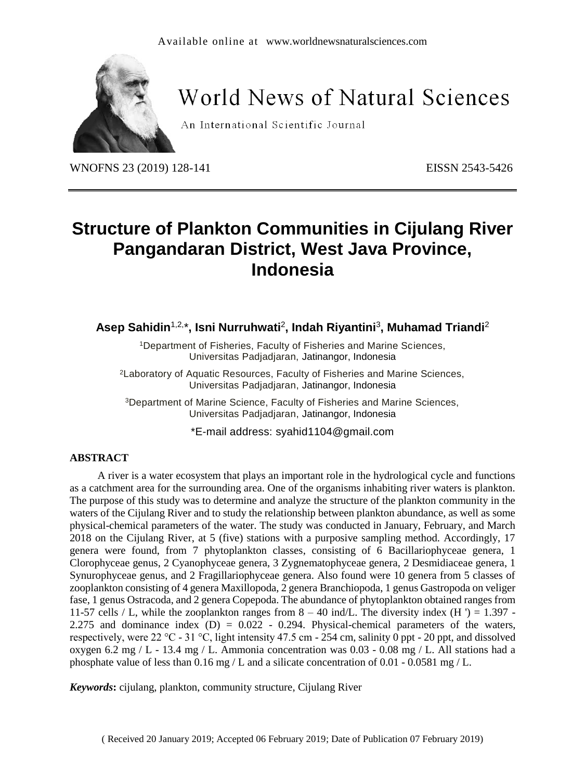

# World News of Natural Sciences

An International Scientific Journal

WNOFNS 23 (2019) 128-141 EISSN 2543-5426

# **Structure of Plankton Communities in Cijulang River Pangandaran District, West Java Province, Indonesia**

**Asep Sahidin**1,2, \***, Isni Nurruhwati**<sup>2</sup> **, Indah Riyantini**<sup>3</sup> **, Muhamad Triandi**<sup>2</sup>

<sup>1</sup>Department of Fisheries, Faculty of Fisheries and Marine Sciences, Universitas Padjadjaran, Jatinangor, Indonesia

<sup>2</sup>Laboratory of Aquatic Resources, Faculty of Fisheries and Marine Sciences, Universitas Padjadjaran, Jatinangor, Indonesia

<sup>3</sup>Department of Marine Science, Faculty of Fisheries and Marine Sciences, Universitas Padjadjaran, Jatinangor, Indonesia

\*E-mail address: [syahid1104@gmail.com](mailto:syahid1104@gmail.com)

#### **ABSTRACT**

A river is a water ecosystem that plays an important role in the hydrological cycle and functions as a catchment area for the surrounding area. One of the organisms inhabiting river waters is plankton. The purpose of this study was to determine and analyze the structure of the plankton community in the waters of the Cijulang River and to study the relationship between plankton abundance, as well as some physical-chemical parameters of the water. The study was conducted in January, February, and March 2018 on the Cijulang River, at 5 (five) stations with a purposive sampling method. Accordingly, 17 genera were found, from 7 phytoplankton classes, consisting of 6 Bacillariophyceae genera, 1 Clorophyceae genus, 2 Cyanophyceae genera, 3 Zygnematophyceae genera, 2 Desmidiaceae genera, 1 Synurophyceae genus, and 2 Fragillariophyceae genera. Also found were 10 genera from 5 classes of zooplankton consisting of 4 genera Maxillopoda, 2 genera Branchiopoda, 1 genus Gastropoda on veliger fase, 1 genus Ostracoda, and 2 genera Copepoda. The abundance of phytoplankton obtained ranges from 11-57 cells / L, while the zooplankton ranges from  $8 - 40$  ind/L. The diversity index (H ') = 1.397 -2.275 and dominance index  $(D) = 0.022 - 0.294$ . Physical-chemical parameters of the waters, respectively, were 22 °C - 31 °C, light intensity 47.5 cm - 254 cm, salinity 0 ppt - 20 ppt, and dissolved oxygen 6.2 mg / L - 13.4 mg / L. Ammonia concentration was  $0.03 - 0.08$  mg / L. All stations had a phosphate value of less than 0.16 mg / L and a silicate concentration of 0.01 - 0.0581 mg / L.

*Keywords***:** cijulang, plankton, community structure, Cijulang River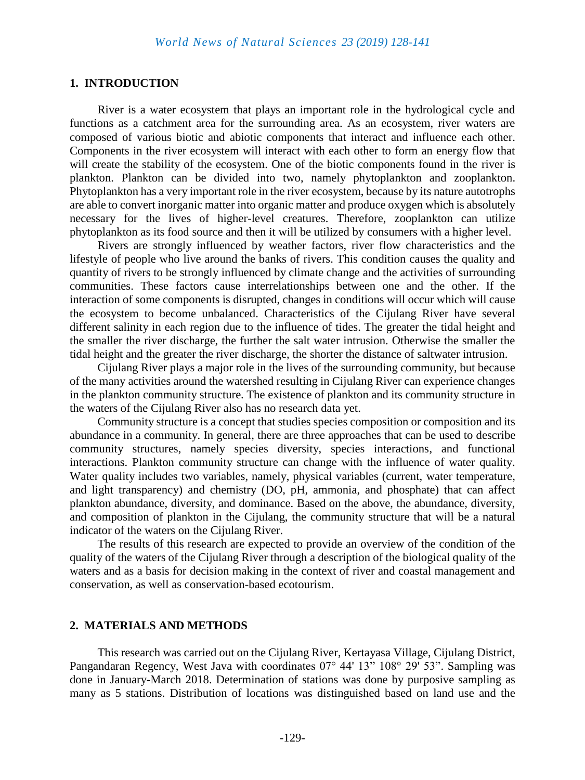# **1. INTRODUCTION**

River is a water ecosystem that plays an important role in the hydrological cycle and functions as a catchment area for the surrounding area. As an ecosystem, river waters are composed of various biotic and abiotic components that interact and influence each other. Components in the river ecosystem will interact with each other to form an energy flow that will create the stability of the ecosystem. One of the biotic components found in the river is plankton. Plankton can be divided into two, namely phytoplankton and zooplankton. Phytoplankton has a very important role in the river ecosystem, because by its nature autotrophs are able to convert inorganic matter into organic matter and produce oxygen which is absolutely necessary for the lives of higher-level creatures. Therefore, zooplankton can utilize phytoplankton as its food source and then it will be utilized by consumers with a higher level.

Rivers are strongly influenced by weather factors, river flow characteristics and the lifestyle of people who live around the banks of rivers. This condition causes the quality and quantity of rivers to be strongly influenced by climate change and the activities of surrounding communities. These factors cause interrelationships between one and the other. If the interaction of some components is disrupted, changes in conditions will occur which will cause the ecosystem to become unbalanced. Characteristics of the Cijulang River have several different salinity in each region due to the influence of tides. The greater the tidal height and the smaller the river discharge, the further the salt water intrusion. Otherwise the smaller the tidal height and the greater the river discharge, the shorter the distance of saltwater intrusion.

Cijulang River plays a major role in the lives of the surrounding community, but because of the many activities around the watershed resulting in Cijulang River can experience changes in the plankton community structure. The existence of plankton and its community structure in the waters of the Cijulang River also has no research data yet.

Community structure is a concept that studies species composition or composition and its abundance in a community. In general, there are three approaches that can be used to describe community structures, namely species diversity, species interactions, and functional interactions. Plankton community structure can change with the influence of water quality. Water quality includes two variables, namely, physical variables (current, water temperature, and light transparency) and chemistry (DO, pH, ammonia, and phosphate) that can affect plankton abundance, diversity, and dominance. Based on the above, the abundance, diversity, and composition of plankton in the Cijulang, the community structure that will be a natural indicator of the waters on the Cijulang River.

The results of this research are expected to provide an overview of the condition of the quality of the waters of the Cijulang River through a description of the biological quality of the waters and as a basis for decision making in the context of river and coastal management and conservation, as well as conservation-based ecotourism.

#### **2. MATERIALS AND METHODS**

This research was carried out on the Cijulang River, Kertayasa Village, Cijulang District, Pangandaran Regency, West Java with coordinates 07° 44' 13" 108° 29' 53". Sampling was done in January-March 2018. Determination of stations was done by purposive sampling as many as 5 stations. Distribution of locations was distinguished based on land use and the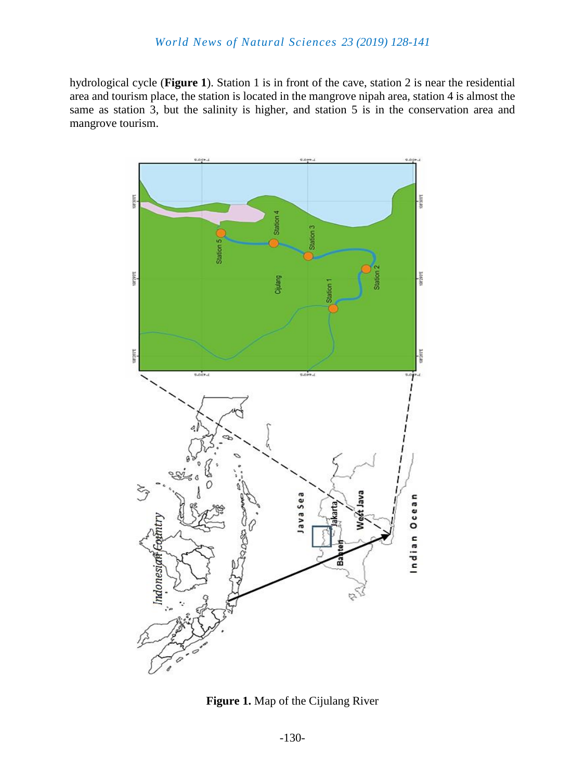hydrological cycle (**Figure 1**). Station 1 is in front of the cave, station 2 is near the residential area and tourism place, the station is located in the mangrove nipah area, station 4 is almost the same as station 3, but the salinity is higher, and station 5 is in the conservation area and mangrove tourism.



**Figure 1.** Map of the Cijulang River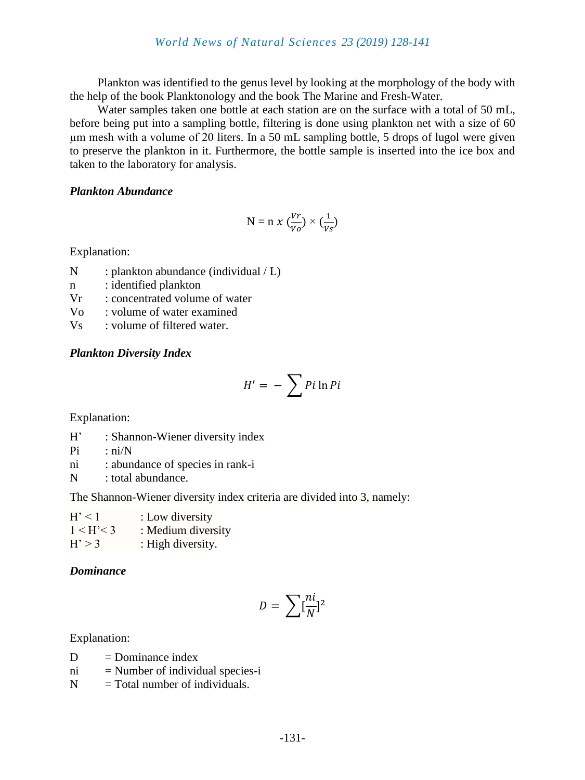Plankton was identified to the genus level by looking at the morphology of the body with the help of the book Planktonology and the book The Marine and Fresh-Water.

Water samples taken one bottle at each station are on the surface with a total of 50 mL, before being put into a sampling bottle, filtering is done using plankton net with a size of 60 µm mesh with a volume of 20 liters. In a 50 mL sampling bottle, 5 drops of lugol were given to preserve the plankton in it. Furthermore, the bottle sample is inserted into the ice box and taken to the laboratory for analysis.

#### *Plankton Abundance*

$$
N = n \times (\frac{Vr}{V\rho}) \times (\frac{1}{Vs})
$$

Explanation:

- N : plankton abundance (individual / L)
- n : identified plankton
- Vr : concentrated volume of water
- Vo : volume of water examined
- Vs : volume of filtered water.

# *Plankton Diversity Index*

$$
H' = -\sum P i \ln P i
$$

Explanation:

- H' : Shannon-Wiener diversity index
- $Pi$  : ni/N
- ni : abundance of species in rank-i
- N : total abundance.

The Shannon-Wiener diversity index criteria are divided into 3, namely:

| H' < 1     | : Low diversity    |
|------------|--------------------|
| 1 < H' < 3 | : Medium diversity |
| H' > 3     | : High diversity.  |

# *Dominance*

$$
D = \sum [\frac{ni}{N}]^2
$$

Explanation:

- $D =$ Dominance index
- $ni$  = Number of individual species-i
- $N =$ Total number of individuals.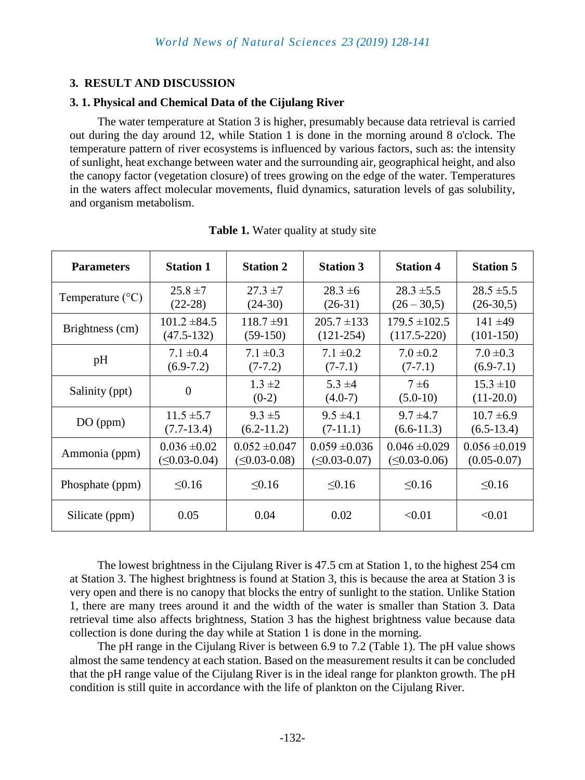# **3. RESULT AND DISCUSSION**

# **3. 1. Physical and Chemical Data of the Cijulang River**

The water temperature at Station 3 is higher, presumably because data retrieval is carried out during the day around 12, while Station 1 is done in the morning around 8 o'clock. The temperature pattern of river ecosystems is influenced by various factors, such as: the intensity of sunlight, heat exchange between water and the surrounding air, geographical height, and also the canopy factor (vegetation closure) of trees growing on the edge of the water. Temperatures in the waters affect molecular movements, fluid dynamics, saturation levels of gas solubility, and organism metabolism.

| <b>Parameters</b>         | <b>Station 1</b>      | <b>Station 2</b>       | <b>Station 3</b>         | <b>Station 4</b>       | <b>Station 5</b>             |
|---------------------------|-----------------------|------------------------|--------------------------|------------------------|------------------------------|
| Temperature $(^{\circ}C)$ | $25.8 \pm 7$          | $27.3 \pm 7$           | $28.3 \pm 6$             | $28.3 \pm 5.5$         | $28.5 \pm 5.5$               |
|                           | $(22-28)$             | $(24-30)$              | $(26-31)$                | $(26 - 30, 5)$         | $(26-30,5)$                  |
| Brightness (cm)           | $101.2 \pm 84.5$      | $118.7 \pm 91$         | $205.7 \pm 133$          | $179.5 \pm 102.5$      | $141 + 49$                   |
|                           | $(47.5 - 132)$        | $(59-150)$             | $(121-254)$              | $(117.5 - 220)$        | $(101-150)$                  |
| pH                        | $7.1 \pm 0.4$         | $7.1 \pm 0.3$          | $7.1 \pm 0.2$            | $7.0 \pm 0.2$          | $7.0 \pm 0.3$                |
|                           | $(6.9-7.2)$           | $(7-7.2)$              | $(7-7.1)$                | $(7-7.1)$              | $(6.9-7.1)$                  |
| Salinity (ppt)            | $\overline{0}$        | $1.3 \pm 2$<br>$(0-2)$ | $5.3 \pm 4$<br>$(4.0-7)$ | $7\pm 6$<br>$(5.0-10)$ | $15.3 \pm 10$<br>$(11-20.0)$ |
| DO (ppm)                  | $11.5 \pm 5.7$        | $9.3 \pm 5$            | $9.5 \pm 4.1$            | $9.7 \pm 4.7$          | $10.7 \pm 6.9$               |
|                           | $(7.7-13.4)$          | $(6.2-11.2)$           | $(7-11.1)$               | $(6.6-11.3)$           | $(6.5-13.4)$                 |
| Ammonia (ppm)             | $0.036 \pm 0.02$      | $0.052 \pm 0.047$      | $0.059 \pm 0.036$        | $0.046 \pm 0.029$      | $0.056 \pm 0.019$            |
|                           | $( \leq 0.03 - 0.04)$ | $( \leq 0.03 - 0.08 )$ | $( \leq 0.03 - 0.07 )$   | $( \leq 0.03 - 0.06)$  | $(0.05 - 0.07)$              |
| Phosphate (ppm)           | $\leq 0.16$           | < 0.16                 | < 0.16                   | < 0.16                 | < 0.16                       |
| Silicate (ppm)            | 0.05                  | 0.04                   | 0.02                     | < 0.01                 | < 0.01                       |

**Table 1.** Water quality at study site

The lowest brightness in the Cijulang River is 47.5 cm at Station 1, to the highest 254 cm at Station 3. The highest brightness is found at Station 3, this is because the area at Station 3 is very open and there is no canopy that blocks the entry of sunlight to the station. Unlike Station 1, there are many trees around it and the width of the water is smaller than Station 3. Data retrieval time also affects brightness, Station 3 has the highest brightness value because data collection is done during the day while at Station 1 is done in the morning.

The pH range in the Cijulang River is between 6.9 to 7.2 (Table 1). The pH value shows almost the same tendency at each station. Based on the measurement results it can be concluded that the pH range value of the Cijulang River is in the ideal range for plankton growth. The pH condition is still quite in accordance with the life of plankton on the Cijulang River.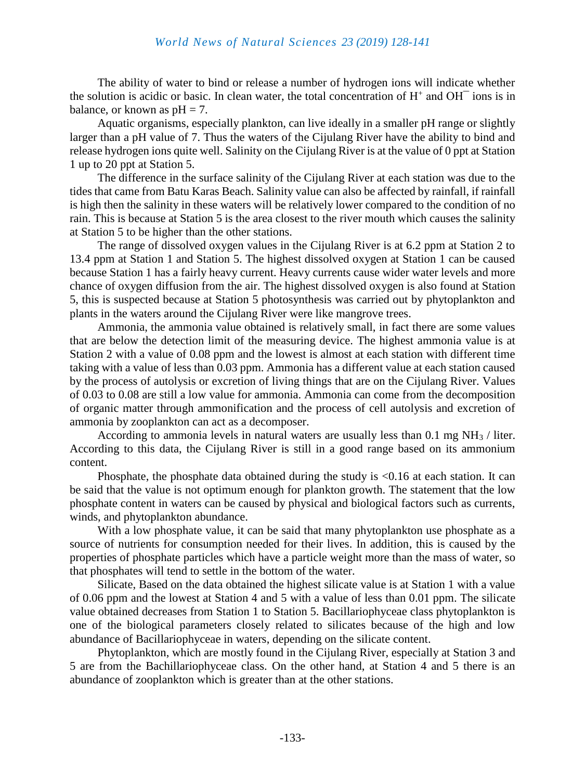#### *World News of Natural Sciences 23 (2019) 128-141*

The ability of water to bind or release a number of hydrogen ions will indicate whether the solution is acidic or basic. In clean water, the total concentration of  $H^+$  and  $OH^-$  ions is in balance, or known as  $pH = 7$ .

Aquatic organisms, especially plankton, can live ideally in a smaller pH range or slightly larger than a pH value of 7. Thus the waters of the Cijulang River have the ability to bind and release hydrogen ions quite well. Salinity on the Cijulang River is at the value of 0 ppt at Station 1 up to 20 ppt at Station 5.

The difference in the surface salinity of the Cijulang River at each station was due to the tides that came from Batu Karas Beach. Salinity value can also be affected by rainfall, if rainfall is high then the salinity in these waters will be relatively lower compared to the condition of no rain. This is because at Station 5 is the area closest to the river mouth which causes the salinity at Station 5 to be higher than the other stations.

The range of dissolved oxygen values in the Cijulang River is at 6.2 ppm at Station 2 to 13.4 ppm at Station 1 and Station 5. The highest dissolved oxygen at Station 1 can be caused because Station 1 has a fairly heavy current. Heavy currents cause wider water levels and more chance of oxygen diffusion from the air. The highest dissolved oxygen is also found at Station 5, this is suspected because at Station 5 photosynthesis was carried out by phytoplankton and plants in the waters around the Cijulang River were like mangrove trees.

Ammonia, the ammonia value obtained is relatively small, in fact there are some values that are below the detection limit of the measuring device. The highest ammonia value is at Station 2 with a value of 0.08 ppm and the lowest is almost at each station with different time taking with a value of less than 0.03 ppm. Ammonia has a different value at each station caused by the process of autolysis or excretion of living things that are on the Cijulang River. Values of 0.03 to 0.08 are still a low value for ammonia. Ammonia can come from the decomposition of organic matter through ammonification and the process of cell autolysis and excretion of ammonia by zooplankton can act as a decomposer.

According to ammonia levels in natural waters are usually less than  $0.1 \text{ mg NH}_3$  / liter. According to this data, the Cijulang River is still in a good range based on its ammonium content.

Phosphate, the phosphate data obtained during the study is <0.16 at each station. It can be said that the value is not optimum enough for plankton growth. The statement that the low phosphate content in waters can be caused by physical and biological factors such as currents, winds, and phytoplankton abundance.

With a low phosphate value, it can be said that many phytoplankton use phosphate as a source of nutrients for consumption needed for their lives. In addition, this is caused by the properties of phosphate particles which have a particle weight more than the mass of water, so that phosphates will tend to settle in the bottom of the water.

Silicate, Based on the data obtained the highest silicate value is at Station 1 with a value of 0.06 ppm and the lowest at Station 4 and 5 with a value of less than 0.01 ppm. The silicate value obtained decreases from Station 1 to Station 5. Bacillariophyceae class phytoplankton is one of the biological parameters closely related to silicates because of the high and low abundance of Bacillariophyceae in waters, depending on the silicate content.

Phytoplankton, which are mostly found in the Cijulang River, especially at Station 3 and 5 are from the Bachillariophyceae class. On the other hand, at Station 4 and 5 there is an abundance of zooplankton which is greater than at the other stations.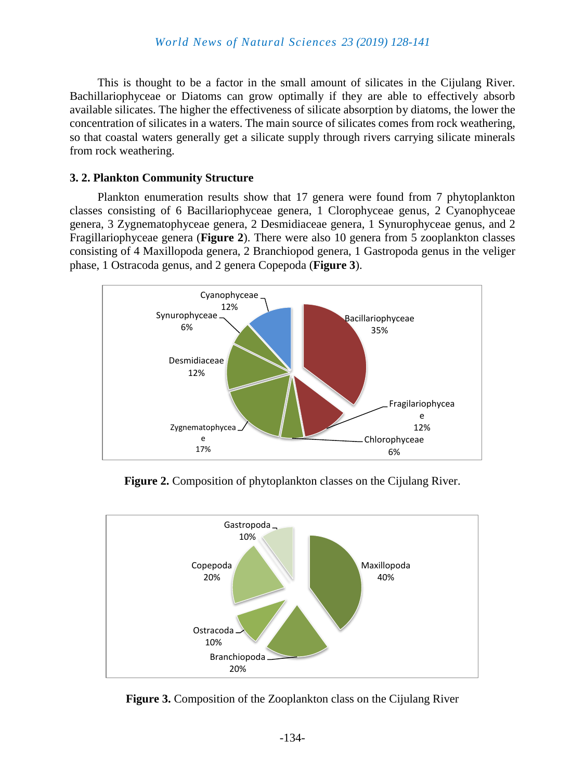This is thought to be a factor in the small amount of silicates in the Cijulang River. Bachillariophyceae or Diatoms can grow optimally if they are able to effectively absorb available silicates. The higher the effectiveness of silicate absorption by diatoms, the lower the concentration of silicates in a waters. The main source of silicates comes from rock weathering, so that coastal waters generally get a silicate supply through rivers carrying silicate minerals from rock weathering.

#### **3. 2. Plankton Community Structure**

Plankton enumeration results show that 17 genera were found from 7 phytoplankton classes consisting of 6 Bacillariophyceae genera, 1 Clorophyceae genus, 2 Cyanophyceae genera, 3 Zygnematophyceae genera, 2 Desmidiaceae genera, 1 Synurophyceae genus, and 2 Fragillariophyceae genera (**Figure 2**). There were also 10 genera from 5 zooplankton classes consisting of 4 Maxillopoda genera, 2 Branchiopod genera, 1 Gastropoda genus in the veliger phase, 1 Ostracoda genus, and 2 genera Copepoda (**Figure 3**).



**Figure 2.** Composition of phytoplankton classes on the Cijulang River.



**Figure 3.** Composition of the Zooplankton class on the Cijulang River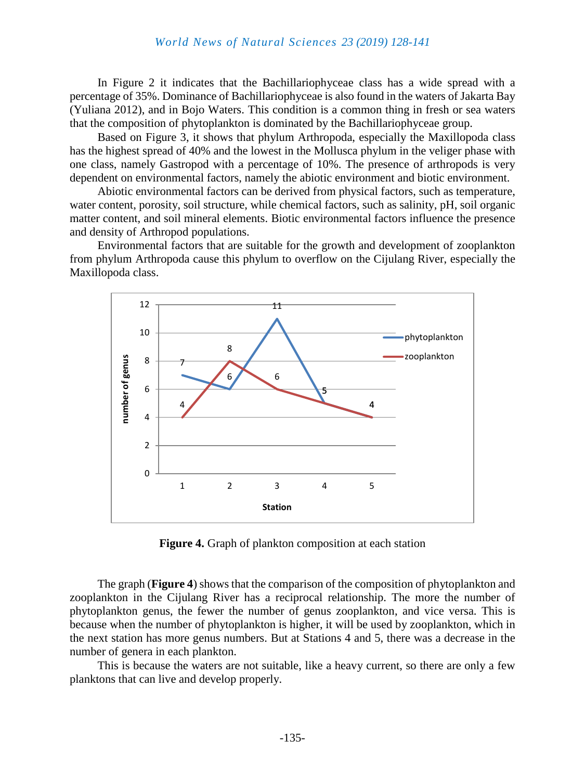In Figure 2 it indicates that the Bachillariophyceae class has a wide spread with a percentage of 35%. Dominance of Bachillariophyceae is also found in the waters of Jakarta Bay (Yuliana 2012), and in Bojo Waters. This condition is a common thing in fresh or sea waters that the composition of phytoplankton is dominated by the Bachillariophyceae group.

Based on Figure 3, it shows that phylum Arthropoda, especially the Maxillopoda class has the highest spread of 40% and the lowest in the Mollusca phylum in the veliger phase with one class, namely Gastropod with a percentage of 10%. The presence of arthropods is very dependent on environmental factors, namely the abiotic environment and biotic environment.

Abiotic environmental factors can be derived from physical factors, such as temperature, water content, porosity, soil structure, while chemical factors, such as salinity, pH, soil organic matter content, and soil mineral elements. Biotic environmental factors influence the presence and density of Arthropod populations.

Environmental factors that are suitable for the growth and development of zooplankton from phylum Arthropoda cause this phylum to overflow on the Cijulang River, especially the Maxillopoda class.



**Figure 4.** Graph of plankton composition at each station

The graph (**Figure 4**) shows that the comparison of the composition of phytoplankton and zooplankton in the Cijulang River has a reciprocal relationship. The more the number of phytoplankton genus, the fewer the number of genus zooplankton, and vice versa. This is because when the number of phytoplankton is higher, it will be used by zooplankton, which in the next station has more genus numbers. But at Stations 4 and 5, there was a decrease in the number of genera in each plankton.

This is because the waters are not suitable, like a heavy current, so there are only a few planktons that can live and develop properly.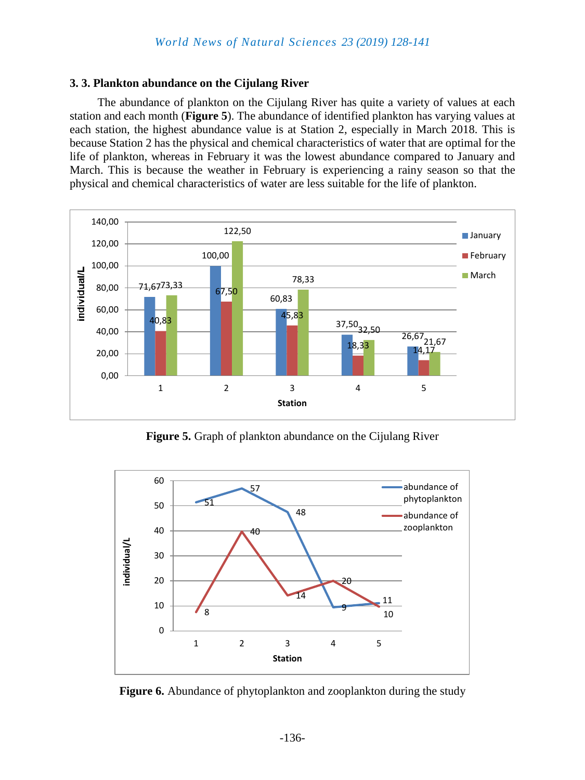#### **3. 3. Plankton abundance on the Cijulang River**

The abundance of plankton on the Cijulang River has quite a variety of values at each station and each month (**Figure 5**). The abundance of identified plankton has varying values at each station, the highest abundance value is at Station 2, especially in March 2018. This is because Station 2 has the physical and chemical characteristics of water that are optimal for the life of plankton, whereas in February it was the lowest abundance compared to January and March. This is because the weather in February is experiencing a rainy season so that the physical and chemical characteristics of water are less suitable for the life of plankton.



**Figure 5.** Graph of plankton abundance on the Cijulang River



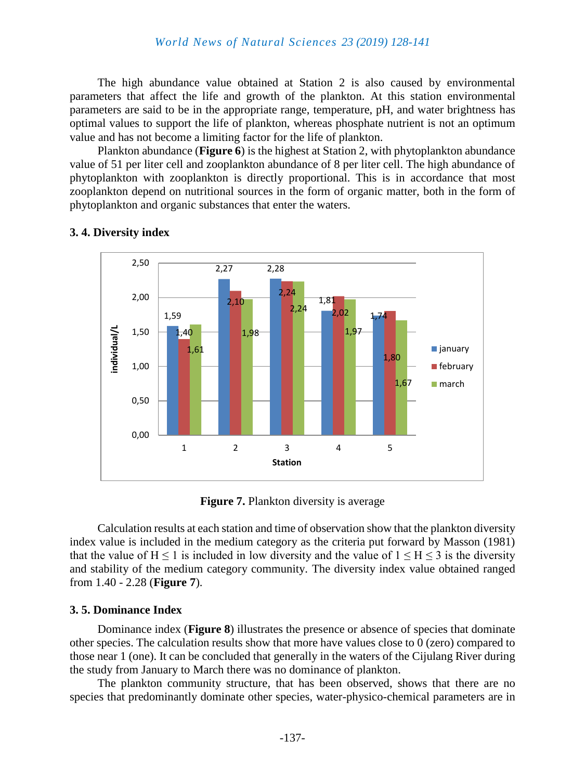The high abundance value obtained at Station 2 is also caused by environmental parameters that affect the life and growth of the plankton. At this station environmental parameters are said to be in the appropriate range, temperature, pH, and water brightness has optimal values to support the life of plankton, whereas phosphate nutrient is not an optimum value and has not become a limiting factor for the life of plankton.

Plankton abundance (**Figure 6**) is the highest at Station 2, with phytoplankton abundance value of 51 per liter cell and zooplankton abundance of 8 per liter cell. The high abundance of phytoplankton with zooplankton is directly proportional. This is in accordance that most zooplankton depend on nutritional sources in the form of organic matter, both in the form of phytoplankton and organic substances that enter the waters.



# **3. 4. Diversity index**

**Figure 7.** Plankton diversity is average

Calculation results at each station and time of observation show that the plankton diversity index value is included in the medium category as the criteria put forward by Masson (1981) that the value of  $H \le 1$  is included in low diversity and the value of  $1 \le H \le 3$  is the diversity and stability of the medium category community. The diversity index value obtained ranged from 1.40 - 2.28 (**Figure 7**).

# **3. 5. Dominance Index**

Dominance index (**Figure 8**) illustrates the presence or absence of species that dominate other species. The calculation results show that more have values close to 0 (zero) compared to those near 1 (one). It can be concluded that generally in the waters of the Cijulang River during the study from January to March there was no dominance of plankton.

The plankton community structure, that has been observed, shows that there are no species that predominantly dominate other species, water-physico-chemical parameters are in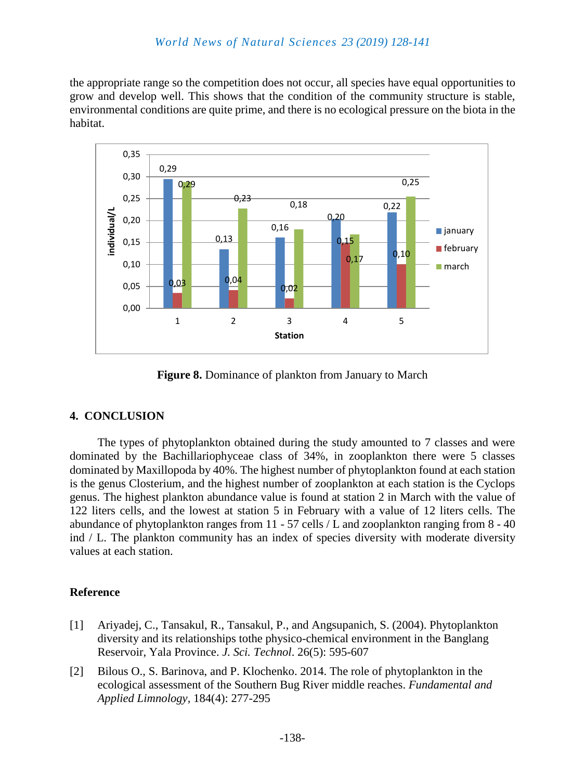# *World News of Natural Sciences 23 (2019) 128-141*

the appropriate range so the competition does not occur, all species have equal opportunities to grow and develop well. This shows that the condition of the community structure is stable, environmental conditions are quite prime, and there is no ecological pressure on the biota in the habitat.



**Figure 8.** Dominance of plankton from January to March

# **4. CONCLUSION**

The types of phytoplankton obtained during the study amounted to 7 classes and were dominated by the Bachillariophyceae class of 34%, in zooplankton there were 5 classes dominated by Maxillopoda by 40%. The highest number of phytoplankton found at each station is the genus Closterium, and the highest number of zooplankton at each station is the Cyclops genus. The highest plankton abundance value is found at station 2 in March with the value of 122 liters cells, and the lowest at station 5 in February with a value of 12 liters cells. The abundance of phytoplankton ranges from 11 - 57 cells / L and zooplankton ranging from 8 - 40 ind / L. The plankton community has an index of species diversity with moderate diversity values at each station.

#### **Reference**

- [1] Ariyadej, C., Tansakul, R., Tansakul, P., and Angsupanich, S. (2004). Phytoplankton diversity and its relationships tothe physico-chemical environment in the Banglang Reservoir, Yala Province. *J. Sci. Technol*. 26(5): 595-607
- [2] Bilous O., S. Barinova, and P. Klochenko. 2014. The role of phytoplankton in the ecological assessment of the Southern Bug River middle reaches. *Fundamental and Applied Limnology,* 184(4): 277-295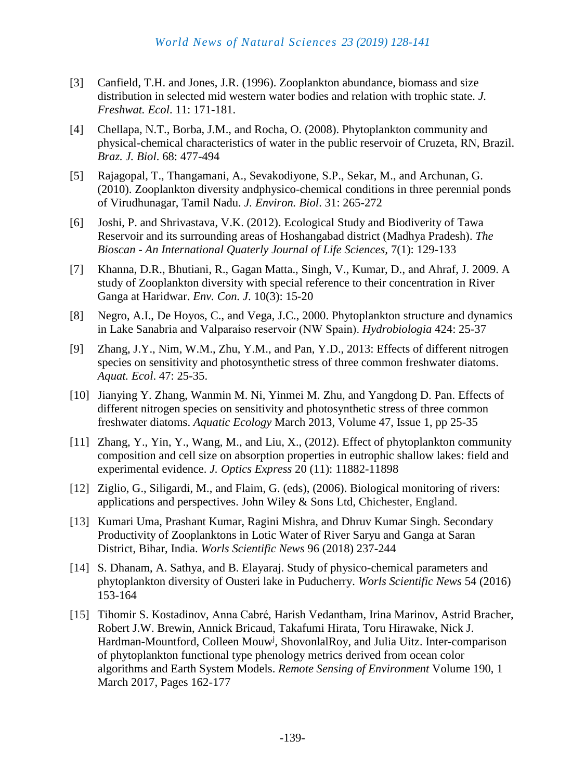- [3] Canfield, T.H. and Jones, J.R. (1996). Zooplankton abundance, biomass and size distribution in selected mid western water bodies and relation with trophic state. *J. Freshwat. Ecol*. 11: 171-181.
- [4] Chellapa, N.T., Borba, J.M., and Rocha, O. (2008). Phytoplankton community and physical-chemical characteristics of water in the public reservoir of Cruzeta, RN, Brazil. *Braz. J. Biol*. 68: 477-494
- [5] Rajagopal, T., Thangamani, A., Sevakodiyone, S.P., Sekar, M., and Archunan, G. (2010). Zooplankton diversity andphysico-chemical conditions in three perennial ponds of Virudhunagar, Tamil Nadu. *J. Environ. Biol*. 31: 265-272
- [6] Joshi, P. and Shrivastava, V.K. (2012). Ecological Study and Biodiverity of Tawa Reservoir and its surrounding areas of Hoshangabad district (Madhya Pradesh). *The Bioscan - An International Quaterly Journal of Life Sciences,* 7(1): 129-133
- [7] Khanna, D.R., Bhutiani, R., Gagan Matta., Singh, V., Kumar, D., and Ahraf, J. 2009. A study of Zooplankton diversity with special reference to their concentration in River Ganga at Haridwar. *Env. Con. J*. 10(3): 15-20
- [8] Negro, A.I., De Hoyos, C., and Vega, J.C., 2000. Phytoplankton structure and dynamics in Lake Sanabria and Valparaíso reservoir (NW Spain). *Hydrobiologia* 424: 25-37
- [9] Zhang, J.Y., Nim, W.M., Zhu, Y.M., and Pan, Y.D., 2013: Effects of different nitrogen species on sensitivity and photosynthetic stress of three common freshwater diatoms. *Aquat. Ecol*. 47: 25-35.
- [10] Jianying Y. Zhang, Wanmin M. Ni, Yinmei M. Zhu, and Yangdong D. Pan. Effects of different nitrogen species on sensitivity and photosynthetic stress of three common freshwater diatoms. *[Aquatic Ecology](https://link.springer.com/journal/10452)* March 2013, Volume 47, [Issue 1,](https://link.springer.com/journal/10452/47/1/page/1) pp 25-35
- [11] Zhang, Y., Yin, Y., Wang, M., and Liu, X., (2012). Effect of phytoplankton community composition and cell size on absorption properties in eutrophic shallow lakes: field and experimental evidence. *J. Optics Express* 20 (11): 11882-11898
- [12] Ziglio, G., Siligardi, M., and Flaim, G. (eds), (2006). Biological monitoring of rivers: applications and perspectives. John Wiley & Sons Ltd, Chichester, England.
- [13] Kumari Uma, Prashant Kumar, Ragini Mishra, and Dhruv Kumar Singh. Secondary Productivity of Zooplanktons in Lotic Water of River Saryu and Ganga at Saran District, Bihar, India. *Worls Scientific News* 96 (2018) 237-244
- [14] S. Dhanam, A. Sathya, and B. Elayaraj. Study of physico-chemical parameters and phytoplankton diversity of Ousteri lake in Puducherry. *Worls Scientific News* 54 (2016) 153-164
- [15] Tihomir S. Kostadinov, Anna Cabré, Harish Vedantham, Irina Marinov, Astrid Bracher, Robert J.W. Brewin, Annick Bricaud, Takafumi Hirata, Toru Hirawake, Nick J. Hardman-Mountford, Colleen Mouw<sup>j</sup>, ShovonlalRoy, and Julia Uitz. Inter-comparison of phytoplankton functional type phenology metrics derived from ocean color algorithms and Earth System Models. *[Remote Sensing of Environment](https://www.sciencedirect.com/science/journal/00344257)* [Volume 190,](https://www.sciencedirect.com/science/journal/00344257/190/supp/C) 1 March 2017, Pages 162-177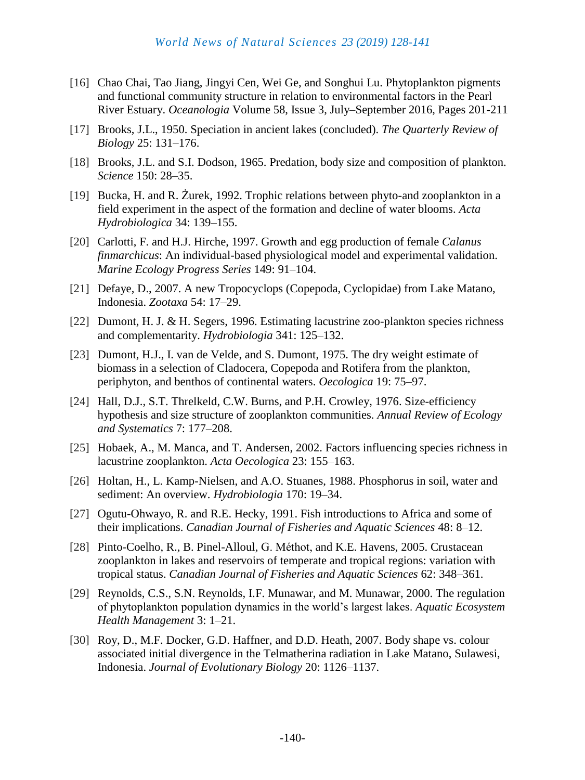- [16] Chao Chai, Tao Jiang, Jingyi Cen, Wei Ge, and Songhui Lu. Phytoplankton pigments and functional community structure in relation to environmental factors in the Pearl River Estuary. *[Oceanologia](https://www.sciencedirect.com/science/journal/00783234)* [Volume 58, Issue 3,](https://www.sciencedirect.com/science/journal/00783234/58/3) July–September 2016, Pages 201-211
- [17] Brooks, J.L., 1950. Speciation in ancient lakes (concluded). *The Quarterly Review of Biology* 25: 131–176.
- [18] Brooks, J.L. and S.I. Dodson, 1965. Predation, body size and composition of plankton. *Science* 150: 28–35.
- [19] Bucka, H. and R. Żurek, 1992. Trophic relations between phyto-and zooplankton in a field experiment in the aspect of the formation and decline of water blooms. *Acta Hydrobiologica* 34: 139–155.
- [20] Carlotti, F. and H.J. Hirche, 1997. Growth and egg production of female *Calanus finmarchicus*: An individual-based physiological model and experimental validation. *Marine Ecology Progress Series* 149: 91–104.
- [21] Defaye, D., 2007. A new Tropocyclops (Copepoda, Cyclopidae) from Lake Matano, Indonesia. *Zootaxa* 54: 17–29.
- [22] Dumont, H. J. & H. Segers, 1996. Estimating lacustrine zoo-plankton species richness and complementarity. *Hydrobiologia* 341: 125–132.
- [23] Dumont, H.J., I. van de Velde, and S. Dumont, 1975. The dry weight estimate of biomass in a selection of Cladocera, Copepoda and Rotifera from the plankton, periphyton, and benthos of continental waters. *Oecologica* 19: 75–97.
- [24] Hall, D.J., S.T. Threlkeld, C.W. Burns, and P.H. Crowley, 1976. Size-efficiency hypothesis and size structure of zooplankton communities. *Annual Review of Ecology and Systematics* 7: 177–208.
- [25] Hobaek, A., M. Manca, and T. Andersen, 2002. Factors influencing species richness in lacustrine zooplankton. *Acta Oecologica* 23: 155–163.
- [26] Holtan, H., L. Kamp-Nielsen, and A.O. Stuanes, 1988. Phosphorus in soil, water and sediment: An overview. *Hydrobiologia* 170: 19–34.
- [27] Ogutu-Ohwayo, R. and R.E. Hecky, 1991. Fish introductions to Africa and some of their implications. *Canadian Journal of Fisheries and Aquatic Sciences* 48: 8–12.
- [28] Pinto-Coelho, R., B. Pinel-Alloul, G. Méthot, and K.E. Havens, 2005. Crustacean zooplankton in lakes and reservoirs of temperate and tropical regions: variation with tropical status. *Canadian Journal of Fisheries and Aquatic Sciences* 62: 348–361.
- [29] Reynolds, C.S., S.N. Reynolds, I.F. Munawar, and M. Munawar, 2000. The regulation of phytoplankton population dynamics in the world's largest lakes. *Aquatic Ecosystem Health Management* 3: 1–21.
- [30] Roy, D., M.F. Docker, G.D. Haffner, and D.D. Heath, 2007. Body shape vs. colour associated initial divergence in the Telmatherina radiation in Lake Matano, Sulawesi, Indonesia. *Journal of Evolutionary Biology* 20: 1126–1137.